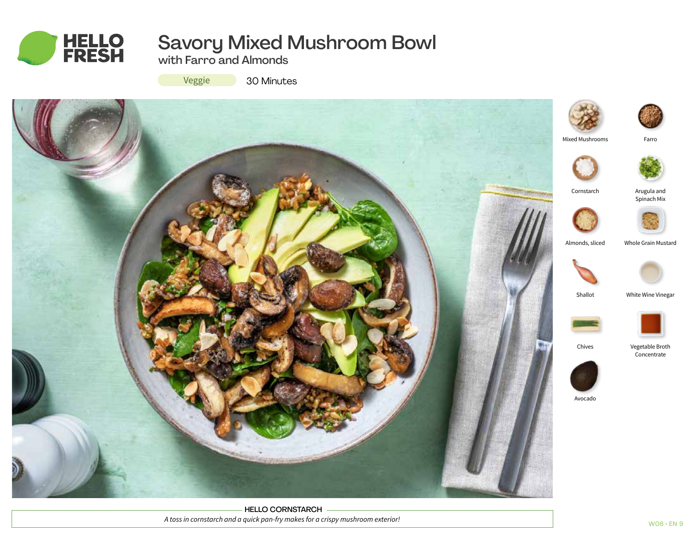

# Savory Mixed Mushroom Bowl

with Farro and Almonds

Veggie

30 Minutes



HELLO CORNSTARCH *A toss in cornstarch and a quick pan-fry makes for a crispy mushroom exterior!*